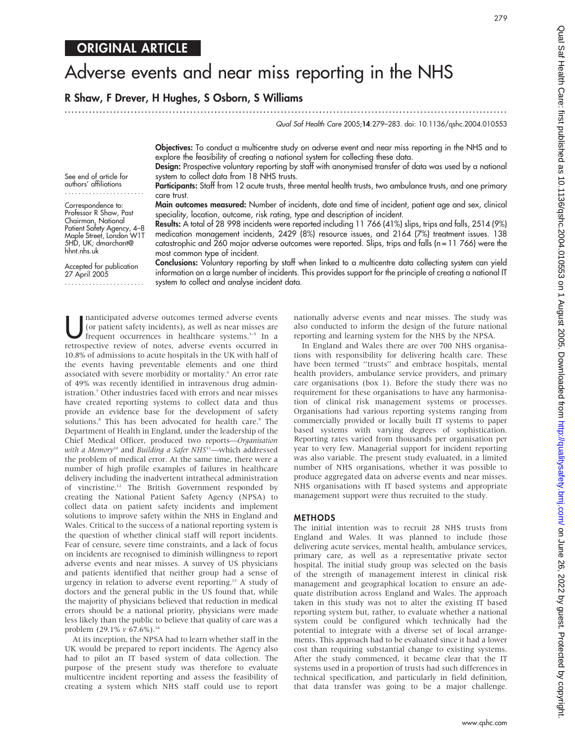# Adverse events and near miss reporting in the NHS

# R Shaw, F Drever, H Hughes, S Osborn, S Williams

............................................................................................................................... Qual Saf Health Care 2005;14:279–283. doi: 10.1136/qshc.2004.010553

279

Objectives: To conduct a multicentre study on adverse event and near miss reporting in the NHS and to explore the feasibility of creating a national system for collecting these data.

Design: Prospective voluntary reporting by staff with anonymised transfer of data was used by a national system to collect data from 18 NHS trusts.

Participants: Staff from 12 acute trusts, three mental health trusts, two ambulance trusts, and one primary care trust.

Main outcomes measured: Number of incidents, date and time of incident, patient age and sex, clinical speciality, location, outcome, risk rating, type and description of incident.

Results: A total of 28 998 incidents were reported including 11 766 (41%) slips, trips and falls, 2514 (9%) medication management incidents, 2429 (8%) resource issues, and 2164 (7%) treatment issues. 138 catastrophic and 260 major adverse outcomes were reported. Slips, trips and falls (n = 11 766) were the most common type of incident.

Conclusions: Voluntary reporting by staff when linked to a multicentre data collecting system can yield information on a large number of incidents. This provides support for the principle of creating a national IT system to collect and analyse incident data.

Inanticipated adverse outcomes termed adverse events<br>(or patient safety incidents), as well as near misses are<br>frequent occurrences in healthcare systems.<sup>1–5</sup> In a<br>retrographic systems of notes advance quants occurred in (or patient safety incidents), as well as near misses are retrospective review of notes, adverse events occurred in 10.8% of admissions to acute hospitals in the UK with half of the events having preventable elements and one third associated with severe morbidity or mortality.<sup>6</sup> An error rate of 49% was recently identified in intravenous drug administration.<sup>7</sup> Other industries faced with errors and near misses have created reporting systems to collect data and thus provide an evidence base for the development of safety solutions.<sup>8</sup> This has been advocated for health care.<sup>9</sup> The Department of Health in England, under the leadership of the Chief Medical Officer, produced two reports—Organisation with a Memory<sup>10</sup> and Building a Safer NHS<sup>11</sup>-which addressed the problem of medical error. At the same time, there were a number of high profile examples of failures in healthcare delivery including the inadvertent intrathecal administration of vincristine.12 The British Government responded by creating the National Patient Safety Agency (NPSA) to collect data on patient safety incidents and implement solutions to improve safety within the NHS in England and Wales. Critical to the success of a national reporting system is the question of whether clinical staff will report incidents. Fear of censure, severe time constraints, and a lack of focus on incidents are recognised to diminish willingness to report adverse events and near misses. A survey of US physicians and patients identified that neither group had a sense of urgency in relation to adverse event reporting.<sup>13</sup> A study of doctors and the general public in the US found that, while the majority of physicians believed that reduction in medical errors should be a national priority, physicians were made less likely than the public to believe that quality of care was a problem (29.1% v 67.6%).<sup>14</sup>

At its inception, the NPSA had to learn whether staff in the UK would be prepared to report incidents. The Agency also had to pilot an IT based system of data collection. The purpose of the present study was therefore to evaluate multicentre incident reporting and assess the feasibility of creating a system which NHS staff could use to report nationally adverse events and near misses. The study was also conducted to inform the design of the future national reporting and learning system for the NHS by the NPSA.

In England and Wales there are over 700 NHS organisations with responsibility for delivering health care. These have been termed ''trusts'' and embrace hospitals, mental health providers, ambulance service providers, and primary care organisations (box 1). Before the study there was no requirement for these organisations to have any harmonisation of clinical risk management systems or processes. Organisations had various reporting systems ranging from commercially provided or locally built IT systems to paper based systems with varying degrees of sophistication. Reporting rates varied from thousands per organisation per year to very few. Managerial support for incident reporting was also variable. The present study evaluated, in a limited number of NHS organisations, whether it was possible to produce aggregated data on adverse events and near misses. NHS organisations with IT based systems and appropriate management support were thus recruited to the study.

## METHODS

The initial intention was to recruit 28 NHS trusts from England and Wales. It was planned to include those delivering acute services, mental health, ambulance services, primary care, as well as a representative private sector hospital. The initial study group was selected on the basis of the strength of management interest in clinical risk management and geographical location to ensure an adequate distribution across England and Wales. The approach taken in this study was not to alter the existing IT based reporting system but, rather, to evaluate whether a national system could be configured which technically had the potential to integrate with a diverse set of local arrangements. This approach had to be evaluated since it had a lower cost than requiring substantial change to existing systems. After the study commenced, it became clear that the IT systems used in a proportion of trusts had such differences in technical specification, and particularly in field definition, that data transfer was going to be a major challenge.

See end of article for

authors' affiliations .......................

Correspondence to: Professor R Shaw, Past Chairman, National Patient Safety Agency, 4–8 Maple Street, London W1T 5HD, UK; dmarchant@ hhnt.nhs.uk

Accepted for publication 27 April 2005 .......................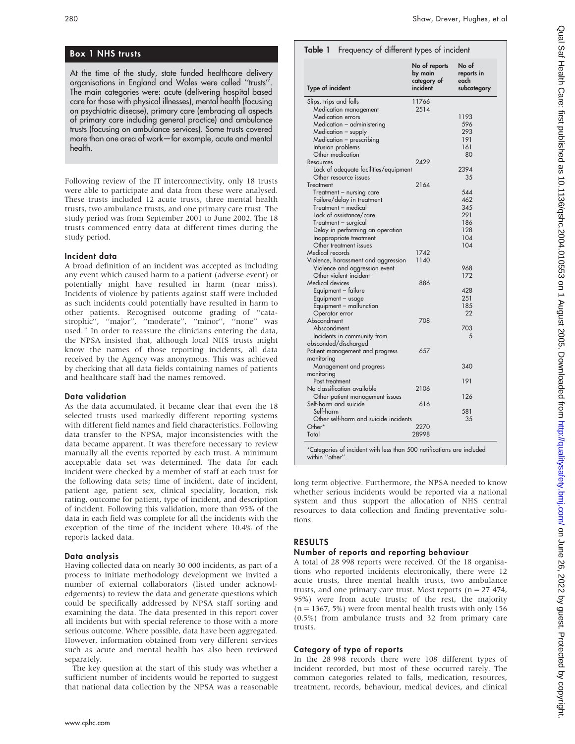# Box 1 NHS trusts

At the time of the study, state funded healthcare delivery organisations in England and Wales were called ''trusts''. The main categories were: acute (delivering hospital based care for those with physical illnesses), mental health (focusing on psychiatric disease), primary care (embracing all aspects of primary care including general practice) and ambulance trusts (focusing on ambulance services). Some trusts covered more than one area of work—for example, acute and mental health.

Following review of the IT interconnectivity, only 18 trusts were able to participate and data from these were analysed. These trusts included 12 acute trusts, three mental health trusts, two ambulance trusts, and one primary care trust. The study period was from September 2001 to June 2002. The 18 trusts commenced entry data at different times during the study period.

## Incident data

A broad definition of an incident was accepted as including any event which caused harm to a patient (adverse event) or potentially might have resulted in harm (near miss). Incidents of violence by patients against staff were included as such incidents could potentially have resulted in harm to other patients. Recognised outcome grading of ''catastrophic'', ''major'', ''moderate'', ''minor'', ''none'' was used.<sup>15</sup> In order to reassure the clinicians entering the data, the NPSA insisted that, although local NHS trusts might know the names of those reporting incidents, all data received by the Agency was anonymous. This was achieved by checking that all data fields containing names of patients and healthcare staff had the names removed.

## Data validation

As the data accumulated, it became clear that even the 18 selected trusts used markedly different reporting systems with different field names and field characteristics. Following data transfer to the NPSA, major inconsistencies with the data became apparent. It was therefore necessary to review manually all the events reported by each trust. A minimum acceptable data set was determined. The data for each incident were checked by a member of staff at each trust for the following data sets; time of incident, date of incident, patient age, patient sex, clinical speciality, location, risk rating, outcome for patient, type of incident, and description of incident. Following this validation, more than 95% of the data in each field was complete for all the incidents with the exception of the time of the incident where 10.4% of the reports lacked data.

## Data analysis

Having collected data on nearly 30 000 incidents, as part of a process to initiate methodology development we invited a number of external collaborators (listed under acknowledgements) to review the data and generate questions which could be specifically addressed by NPSA staff sorting and examining the data. The data presented in this report cover all incidents but with special reference to those with a more serious outcome. Where possible, data have been aggregated. However, information obtained from very different services such as acute and mental health has also been reviewed separately.

The key question at the start of this study was whether a sufficient number of incidents would be reported to suggest that national data collection by the NPSA was a reasonable

| <b>Type of incident</b>                      | No of reports<br>by main<br>category of<br>incident | No of<br>reports in<br>each<br>subcategory |
|----------------------------------------------|-----------------------------------------------------|--------------------------------------------|
| Slips, trips and falls                       | 11766                                               |                                            |
| Medication management                        | 2514                                                |                                            |
| <b>Medication errors</b>                     |                                                     | 1193                                       |
| Medication - administering                   |                                                     | 596                                        |
| Medication - supply                          |                                                     | 293                                        |
| Medication - prescribing                     |                                                     | 191                                        |
| Infusion problems                            |                                                     | 161                                        |
| Other medication                             |                                                     | 80                                         |
| Resources                                    | 2429                                                |                                            |
| Lack of adequate facilities/equipment        |                                                     | 2394                                       |
| Other resource issues                        |                                                     | 35                                         |
| Treatment                                    | 2164                                                |                                            |
| Treatment - nursing care                     |                                                     | 544                                        |
| Failure/delay in treatment                   |                                                     | 462                                        |
| Treatment - medical                          |                                                     | 345                                        |
| Lack of assistance/care                      |                                                     | 291                                        |
| Treatment - surgical                         |                                                     | 186                                        |
| Delay in performing an operation             |                                                     | 128                                        |
| Inappropriate treatment                      |                                                     | 104                                        |
| Other treatment issues                       |                                                     | 104                                        |
| Medical records                              | 1742                                                |                                            |
| Violence, harassment and aggression          | 1140                                                |                                            |
| Violence and aggression event                |                                                     | 968                                        |
| Other violent incident                       |                                                     | 172                                        |
| Medical devices                              | 886                                                 |                                            |
| Equipment - failure                          |                                                     | 428                                        |
|                                              |                                                     | 251                                        |
| Equipment - usage<br>Equipment - malfunction |                                                     | 185                                        |
|                                              |                                                     | 22                                         |
| Operator error<br>Abscondment                | 708                                                 |                                            |
|                                              |                                                     | 703                                        |
| Abscondment                                  |                                                     | 5                                          |
| Incidents in community from                  |                                                     |                                            |
| absconded/discharged                         |                                                     |                                            |
| Patient management and progress              | 657                                                 |                                            |
| monitoring                                   |                                                     |                                            |
| Management and progress                      |                                                     | 340                                        |
| monitoring                                   |                                                     |                                            |
| Post treatment                               |                                                     | 191                                        |
| No classification available                  | 2106                                                |                                            |
| Other patient management issues              |                                                     | 126                                        |
| Self-harm and suicide                        | 616                                                 |                                            |
| Self-harm                                    |                                                     | 581                                        |
| Other self-harm and suicide incidents        |                                                     | 35                                         |
| Other*                                       | 2270                                                |                                            |
| Total                                        | 28998                                               |                                            |

long term objective. Furthermore, the NPSA needed to know whether serious incidents would be reported via a national system and thus support the allocation of NHS central resources to data collection and finding preventative solutions.

## RESULTS

## Number of reports and reporting behaviour

A total of 28 998 reports were received. Of the 18 organisations who reported incidents electronically, there were 12 acute trusts, three mental health trusts, two ambulance trusts, and one primary care trust. Most reports ( $n = 27474$ , 95%) were from acute trusts; of the rest, the majority  $(n = 1367, 5\%)$  were from mental health trusts with only 156 (0.5%) from ambulance trusts and 32 from primary care trusts.

## Category of type of reports

In the 28 998 records there were 108 different types of incident recorded, but most of these occurred rarely. The common categories related to falls, medication, resources, treatment, records, behaviour, medical devices, and clinical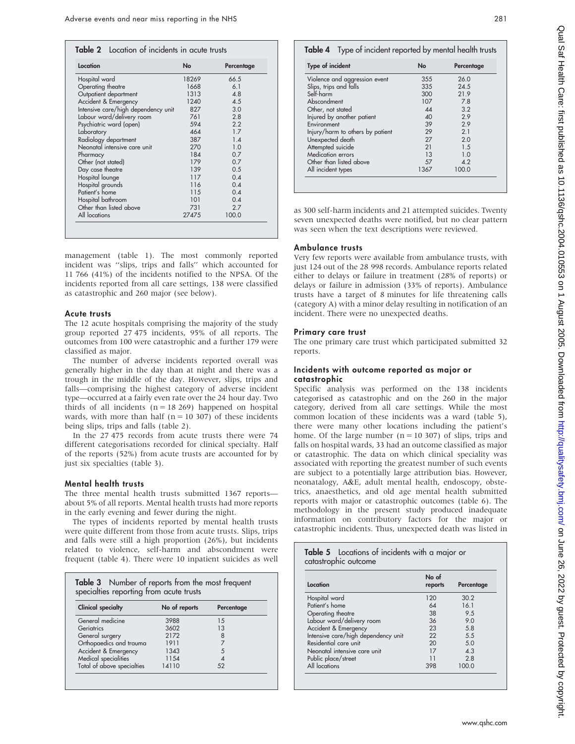| Location                            | <b>No</b> | Percentage |
|-------------------------------------|-----------|------------|
| Hospital ward                       | 18269     | 66.5       |
| Operating theatre                   | 1668      | 61         |
| Outpatient department               | 1313      | 4.8        |
| Accident & Emergency                | 1240      | 4.5        |
| Intensive care/high dependency unit | 827       | 3.0        |
| Labour ward/delivery room           | 761       | 2.8        |
| Psychiatric ward (open)             | 594       | 2.2        |
| Laboratory                          | 464       | 17         |
| Radiology department                | 387       | 1.4        |
| Neonatal intensive care unit        | 270       | 1.0        |
| Pharmacy                            | 184       | 07         |
| Other (not stated)                  | 179       | 0.7        |
| Day case theatre                    | 139       | 0.5        |
| Hospital lounge                     | 117       | $0\Delta$  |
| Hospital grounds                    | 116       | 0.4        |
| Patient's home                      | 115       | $0\Delta$  |
| Hospital bathroom                   | 101       | 0.4        |
| Other than listed above             | 731       | 27         |
| All locations                       | 27475     | 100.0      |

management (table 1). The most commonly reported incident was ''slips, trips and falls'' which accounted for 11 766 (41%) of the incidents notified to the NPSA. Of the incidents reported from all care settings, 138 were classified as catastrophic and 260 major (see below).

#### Acute trusts

The 12 acute hospitals comprising the majority of the study group reported 27 475 incidents, 95% of all reports. The outcomes from 100 were catastrophic and a further 179 were classified as major.

The number of adverse incidents reported overall was generally higher in the day than at night and there was a trough in the middle of the day. However, slips, trips and falls—comprising the highest category of adverse incident type—occurred at a fairly even rate over the 24 hour day. Two thirds of all incidents  $(n = 18269)$  happened on hospital wards, with more than half ( $n = 10,307$ ) of these incidents being slips, trips and falls (table 2).

In the 27 475 records from acute trusts there were 74 different categorisations recorded for clinical specialty. Half of the reports (52%) from acute trusts are accounted for by just six specialties (table 3).

## Mental health trusts

The three mental health trusts submitted 1367 reports about 5% of all reports. Mental health trusts had more reports in the early evening and fewer during the night.

The types of incidents reported by mental health trusts were quite different from those from acute trusts. Slips, trips and falls were still a high proportion (26%), but incidents related to violence, self-harm and abscondment were frequent (table 4). There were 10 inpatient suicides as well

| <b>Clinical specialty</b>  | No of reports | Percentage |
|----------------------------|---------------|------------|
| General medicine           | 3988          | 1.5        |
| Geriatrics                 | 3602          | 13         |
| General surgery            | 2172          | 8          |
| Orthopaedics and trauma    | 1911          |            |
| Accident & Emergency       | 1343          | 5          |
| Medical specialities       | 1154          |            |
| Total of above specialties | 14110         | 52         |

| Type of incident                 | <b>No</b> | Percentage |
|----------------------------------|-----------|------------|
| Violence and aggression event    | 355       | 26.0       |
| Slips, trips and falls           | 335       | 24.5       |
| Self-harm                        | 300       | 21.9       |
| Abscondment                      | 107       | 7.8        |
| Other, not stated                | 44        | 3.2        |
| Injured by another patient       | 40        | 2.9        |
| Environment                      | 39        | 2.9        |
| Injury/harm to others by patient | 29        | 2.1        |
| Unexpected death                 | 27        | 2.0        |
| Attempted suicide                | 21        | 1.5        |
| Medication errors                | 13        | 1.0        |
| Other than listed above          | 57        | 4.2        |
| All incident types               | 1367      | 100.0      |

as 300 self-harm incidents and 21 attempted suicides. Twenty seven unexpected deaths were notified, but no clear pattern was seen when the text descriptions were reviewed.

#### Ambulance trusts

Very few reports were available from ambulance trusts, with just 124 out of the 28 998 records. Ambulance reports related either to delays or failure in treatment (28% of reports) or delays or failure in admission (33% of reports). Ambulance trusts have a target of 8 minutes for life threatening calls (category A) with a minor delay resulting in notification of an incident. There were no unexpected deaths.

#### Primary care trust

The one primary care trust which participated submitted 32 reports.

#### Incidents with outcome reported as major or catastrophic

Specific analysis was performed on the 138 incidents categorised as catastrophic and on the 260 in the major category, derived from all care settings. While the most common location of these incidents was a ward (table 5), there were many other locations including the patient's home. Of the large number ( $n = 10,307$ ) of slips, trips and falls on hospital wards, 33 had an outcome classified as major or catastrophic. The data on which clinical speciality was associated with reporting the greatest number of such events are subject to a potentially large attribution bias. However, neonatalogy, A&E, adult mental health, endoscopy, obstetrics, anaesthetics, and old age mental health submitted reports with major or catastrophic outcomes (table 6). The methodology in the present study produced inadequate information on contributory factors for the major or catastrophic incidents. Thus, unexpected death was listed in

| Table 5 Locations of incidents with a major or<br>catastrophic outcome |                  |            |  |
|------------------------------------------------------------------------|------------------|------------|--|
| Location                                                               | No of<br>reports | Percentage |  |
| Hospital ward                                                          | 120              | 30.2       |  |
| Patient's home                                                         | 64               | 161        |  |
| Operating theatre                                                      | 38               | 9.5        |  |
| Labour ward/delivery room                                              | 36               | 9.0        |  |
| Accident & Emergency                                                   | 23               | 5.8        |  |
| Intensive care/high dependency unit                                    | 22               | 5.5        |  |
| Residential care unit                                                  | 20               | 5.0        |  |
| Neonatal intensive care unit                                           | 17               | $\Delta$ 3 |  |
| Public place/street                                                    | 11               | 28         |  |
| All locations                                                          | 398              | 100.0      |  |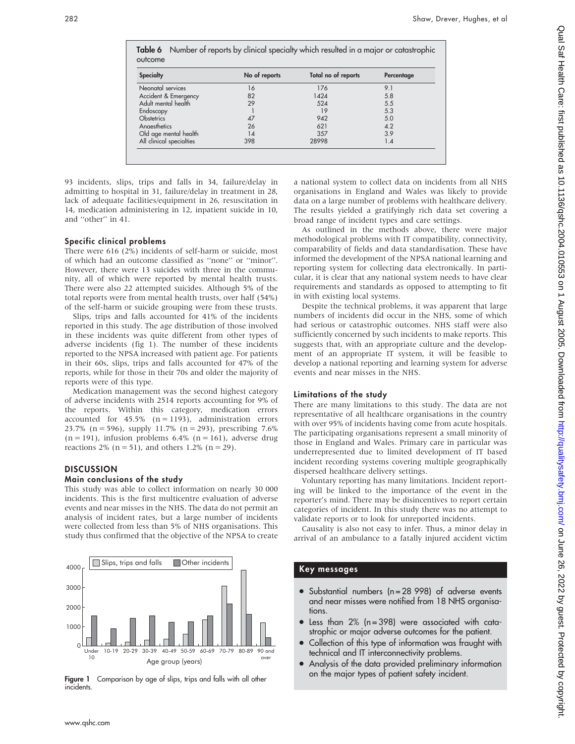Table 6 Number of reports by clinical specialty which resulted in a major or catastrophic outcome Specialty **No of reports** Total no of reports Percentage Neonatal services 16 16 176 9.1 Accident & Emergency 82 1424 5.8 Adult mental health 29 524 5.5 Endoscopy 1 19 5.3 Obstetrics 5.0 Anaesthetics 26 621 4.2 Old age mental health 14 357 3.9 All clinical specialties

93 incidents, slips, trips and falls in 34, failure/delay in admitting to hospital in 31, failure/delay in treatment in 28, lack of adequate facilities/equipment in 26, resuscitation in 14, medication administering in 12, inpatient suicide in 10, and ''other'' in 41.

## Specific clinical problems

There were 616 (2%) incidents of self-harm or suicide, most of which had an outcome classified as ''none'' or ''minor''. However, there were 13 suicides with three in the community, all of which were reported by mental health trusts. There were also 22 attempted suicides. Although 5% of the total reports were from mental health trusts, over half (54%) of the self-harm or suicide grouping were from these trusts.

Slips, trips and falls accounted for 41% of the incidents reported in this study. The age distribution of those involved in these incidents was quite different from other types of adverse incidents (fig 1). The number of these incidents reported to the NPSA increased with patient age. For patients in their 60s, slips, trips and falls accounted for 47% of the reports, while for those in their 70s and older the majority of reports were of this type.

Medication management was the second highest category of adverse incidents with 2514 reports accounting for 9% of the reports. Within this category, medication errors accounted for  $45.5\%$  (n = 1193), administration errors 23.7% (n = 596), supply 11.7% (n = 293), prescribing 7.6%  $(n = 191)$ , infusion problems 6.4%  $(n = 161)$ , adverse drug reactions 2% ( $n = 51$ ), and others 1.2% ( $n = 29$ ).

## **DISCUSSION**

## Main conclusions of the study

This study was able to collect information on nearly 30 000 incidents. This is the first multicentre evaluation of adverse events and near misses in the NHS. The data do not permit an analysis of incident rates, but a large number of incidents were collected from less than 5% of NHS organisations. This study thus confirmed that the objective of the NPSA to create



Figure 1 Comparison by age of slips, trips and falls with all other incidents.

a national system to collect data on incidents from all NHS organisations in England and Wales was likely to provide data on a large number of problems with healthcare delivery. The results yielded a gratifyingly rich data set covering a broad range of incident types and care settings.

As outlined in the methods above, there were major methodological problems with IT compatibility, connectivity, comparability of fields and data standardisation. These have informed the development of the NPSA national learning and reporting system for collecting data electronically. In particular, it is clear that any national system needs to have clear requirements and standards as opposed to attempting to fit in with existing local systems.

Despite the technical problems, it was apparent that large numbers of incidents did occur in the NHS, some of which had serious or catastrophic outcomes. NHS staff were also sufficiently concerned by such incidents to make reports. This suggests that, with an appropriate culture and the development of an appropriate IT system, it will be feasible to develop a national reporting and learning system for adverse events and near misses in the NHS.

## Limitations of the study

There are many limitations to this study. The data are not representative of all healthcare organisations in the country with over 95% of incidents having come from acute hospitals. The participating organisations represent a small minority of those in England and Wales. Primary care in particular was underrepresented due to limited development of IT based incident recording systems covering multiple geographically dispersed healthcare delivery settings.

Voluntary reporting has many limitations. Incident reporting will be linked to the importance of the event in the reporter's mind. There may be disincentives to report certain categories of incident. In this study there was no attempt to validate reports or to look for unreported incidents.

Causality is also not easy to infer. Thus, a minor delay in arrival of an ambulance to a fatally injured accident victim

## Key messages

- $\bullet$  Substantial numbers (n = 28 998) of adverse events and near misses were notified from 18 NHS organisations.
- $\bullet$  Less than 2% (n = 398) were associated with catastrophic or major adverse outcomes for the patient.
- Collection of this type of information was fraught with technical and IT interconnectivity problems.
- Analysis of the data provided preliminary information on the major types of patient safety incident.